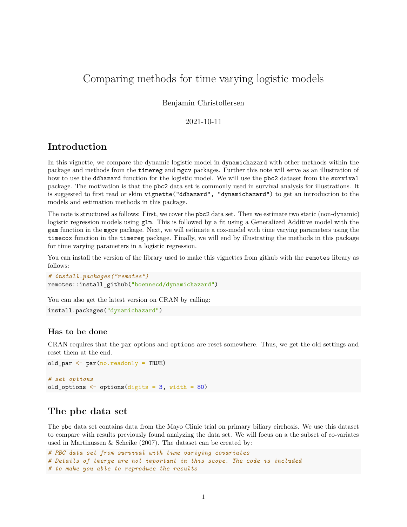# Comparing methods for time varying logistic models

### Benjamin Christoffersen

### 2021-10-11

# **Introduction**

In this vignette, we compare the dynamic logistic model in dynamichazard with other methods within the package and methods from the timereg and mgcv packages. Further this note will serve as an illustration of how to use the ddhazard function for the logistic model. We will use the pbc2 dataset from the survival package. The motivation is that the pbc2 data set is commonly used in survival analysis for illustrations. It is suggested to first read or skim vignette("ddhazard", "dynamichazard") to get an introduction to the models and estimation methods in this package.

The note is structured as follows: First, we cover the pbc2 data set. Then we estimate two static (non-dynamic) logistic regression models using glm. This is followed by a fit using a Generalized Additive model with the gam function in the mgcv package. Next, we will estimate a cox-model with time varying parameters using the timecox function in the timereg package. Finally, we will end by illustrating the methods in this package for time varying parameters in a logistic regression.

You can install the version of the library used to make this vignettes from github with the remotes library as follows:

```
# install.packages("remotes")
remotes::install_github("boennecd/dynamichazard")
```
You can also get the latest version on CRAN by calling:

```
install.packages("dynamichazard")
```
### **Has to be done**

CRAN requires that the par options and options are reset somewhere. Thus, we get the old settings and reset them at the end.

```
old par \leq par(no.readonly = TRUE)
# set options
old_options \leftarrow options(digits = 3, width = 80)
```
# **The pbc data set**

The pbc data set contains data from the Mayo Clinic trial on primary biliary cirrhosis. We use this dataset to compare with results previously found analyzing the data set. We will focus on a the subset of co-variates used in Martinussen & Scheike (2007). The dataset can be created by:

```
# PBC data set from survival with time variying covariates
# Details of tmerge are not important in this scope. The code is included
# to make you able to reproduce the results
```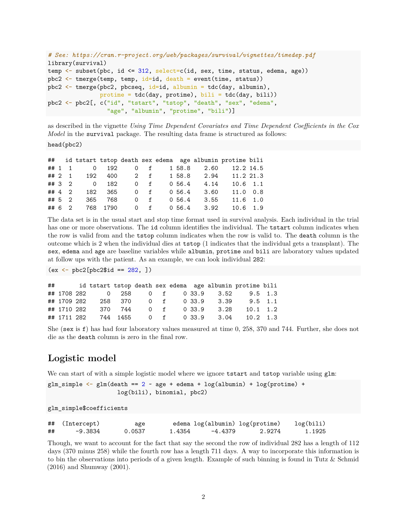```
# See: https://cran.r-project.org/web/packages/survival/vignettes/timedep.pdf
library(survival)
temp \leq subset(pbc, id \leq 312, select=c(id, sex, time, status, edema, age))
pbc2 \leftarrow tmerge(temp, temp, id=id, death = event(time, status))
pbc2 \leftarrow tmerge(pbc2, pbcseq, id=id, albumin = tdc(day, albumin),
               protime = tdc(day, protime), bili = tdc(day, bili))
pbc2 <- pbc2[, c("id", "tstart", "tstop", "death", "sex", "edema",
                  "age", "albumin", "protime", "bili")]
```
as described in the vignette *Using Time Dependent Covariates and Time Dependent Coefficients in the Cox Model* in the survival package. The resulting data frame is structured as follows:

head(pbc2)

|  |  |  |  |  | ## id tstart tstop death sex edema age albumin protime bili |  |
|--|--|--|--|--|-------------------------------------------------------------|--|
|  |  |  |  |  | ## 1 1 0 192 0 f 1 58.8 2.60 12.2 14.5                      |  |
|  |  |  |  |  | ## 2 1 192 400 2 f 1 58.8 2.94 11.2 21.3                    |  |
|  |  |  |  |  | ## 3 2 0 182 0 f 0 56.4 4.14 10.6 1.1                       |  |
|  |  |  |  |  | ## 4 2 182 365 0 f 0 56.4 3.60 11.0 0.8                     |  |
|  |  |  |  |  | ## 5 2 365 768 0 f 0 56.4 3.55 11.6 1.0                     |  |
|  |  |  |  |  | ## 6 2 768 1790  0 f  0 56.4  3.92  10.6  1.9               |  |

The data set is in the usual start and stop time format used in survival analysis. Each individual in the trial has one or more observations. The id column identifies the individual. The tstart column indicates when the row is valid from and the tstop column indicates when the row is valid to. The death column is the outcome which is 2 when the individual dies at tstop (1 indicates that the individual gets a transplant). The sex, edema and age are baseline variables while albumin, protime and bili are laboratory values updated at follow ups with the patient. As an example, we can look individual 282:

 $(ex < - pbc2[pbc2$id == 282, ])$ 

| ## |             |  |  |  |                         | id tstart tstop death sex edema age albumin protime bili |  |
|----|-------------|--|--|--|-------------------------|----------------------------------------------------------|--|
|    |             |  |  |  |                         | ## 1708 282 0 258 0 f 0 33.9 3.52 9.5 1.3                |  |
|    | ## 1709 282 |  |  |  |                         | 258 370 0 f 0 33.9 3.39 9.5 1.1                          |  |
|    | ## 1710 282 |  |  |  | 370 744 0 f 0 33.9 3.28 | $10.1 \quad 1.2$                                         |  |
|    | ## 1711 282 |  |  |  |                         | 744 1455 0 f 0 33.9 3.04 10.2 1.3                        |  |

She (sex is f) has had four laboratory values measured at time 0, 258, 370 and 744. Further, she does not die as the death column is zero in the final row.

# **Logistic model**

We can start of with a simple logistic model where we ignore tstart and tstop variable using glm:

```
glm_simple \leq glm(death == 2 \sim age + edema + log(albumin) + log(protime) +
                     log(bili), binomial, pbc2)
```
glm\_simple\$coefficients

|    | ## (Intercept) | age    |        | edema log(albumin) log(protime) |        | log(bili) |
|----|----------------|--------|--------|---------------------------------|--------|-----------|
| ## | -9.3834        | 0.0537 | 1.4354 | -4.4379                         | 2.9274 | 1.1925    |

Though, we want to account for the fact that say the second the row of individual 282 has a length of 112 days (370 minus 258) while the fourth row has a length 711 days. A way to incorporate this information is to bin the observations into periods of a given length. Example of such binning is found in Tutz & Schmid (2016) and Shumway (2001).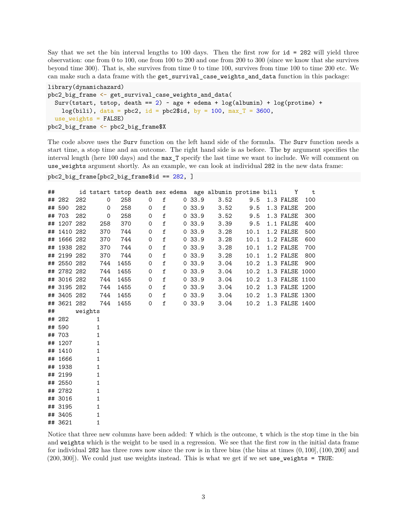Say that we set the bin interval lengths to 100 days. Then the first row for id = 282 will yield three observation: one from 0 to 100, one from 100 to 200 and one from 200 to 300 (since we know that she survives beyond time 300). That is, she survives from time 0 to time 100, survives from time 100 to time 200 etc. We can make such a data frame with the get\_survival\_case\_weights\_and\_data function in this package:

```
library(dynamichazard)
pbc2_big_frame <- get_survival_case_weights_and_data(
  Surv(tstart, tstop, death == 2) \sim age + edema + log(albumin) + log(protime) +
   log(bili), data = pbc2, id = pbc2$id, by = 100, max_T = 3600,
  use_weights = FALSE)
pbc2_big_frame <- pbc2_big_frame$X
```
The code above uses the Surv function on the left hand side of the formula. The Surv function needs a start time, a stop time and an outcome. The right hand side is as before. The by argument specifies the interval length (here 100 days) and the max\_T specify the last time we want to include. We will comment on use\_weights argument shortly. As an example, we can look at individual 282 in the new data frame:

```
pbc2_big_frame[pbc2_big_frame$id == 282, ]
```
## 3621 1

| ## |             |         |              |      |             |             |        |      | id tstart tstop death sex edema age albumin protime bili | <b>Example 1</b> | $\mathbf t$ |
|----|-------------|---------|--------------|------|-------------|-------------|--------|------|----------------------------------------------------------|------------------|-------------|
|    | ## 282      | 282     | $\mathbf 0$  | 258  | 0           | f           | 0.33.9 | 3.52 | 9.5                                                      | 1.3 FALSE        | 100         |
|    | ## 590      | 282     | 0            | 258  | 0           | $\mathtt f$ | 0.33.9 | 3.52 | 9.5                                                      | 1.3 FALSE        | 200         |
|    | ## 703      | 282     | 0            | 258  | 0           | f           | 0.33.9 | 3.52 | 9.5                                                      | 1.3 FALSE        | 300         |
|    | ## 1207 282 |         | 258          | 370  | 0           | $\mathtt f$ | 0.33.9 | 3.39 | 9.5                                                      | 1.1 FALSE        | 400         |
|    | ## 1410 282 |         | 370          | 744  | 0           | $\mathtt f$ | 0.33.9 | 3.28 | 10.1                                                     | 1.2 FALSE        | 500         |
|    | ## 1666 282 |         | 370          | 744  | 0           | $\mathtt f$ | 0.33.9 | 3.28 | 10.1                                                     | 1.2 FALSE        | 600         |
|    | ## 1938 282 |         | 370          | 744  | 0           | $\mathtt f$ | 0.33.9 | 3.28 | 10.1                                                     | 1.2 FALSE        | 700         |
|    | ## 2199 282 |         | 370          | 744  | 0           | $\mathtt f$ | 0.33.9 | 3.28 | 10.1                                                     | 1.2 FALSE        | 800         |
|    | ## 2550 282 |         | 744          | 1455 | 0           | $\mathtt f$ | 0.33.9 | 3.04 | 10.2                                                     | 1.3 FALSE        | 900         |
|    | ## 2782 282 |         | 744          | 1455 | 0           | $\mathtt f$ | 0.33.9 | 3.04 | 10.2                                                     | 1.3 FALSE 1000   |             |
|    | ## 3016 282 |         | 744          | 1455 | 0           | $\mathtt f$ | 0.33.9 | 3.04 | 10.2                                                     | 1.3 FALSE 1100   |             |
|    | ## 3195 282 |         | 744          | 1455 | 0           | $\mathtt f$ | 0.33.9 | 3.04 | 10.2                                                     | 1.3 FALSE 1200   |             |
|    | ## 3405 282 |         | 744          | 1455 | $\mathbf 0$ | $\mathtt f$ | 0.33.9 | 3.04 | 10.2                                                     | 1.3 FALSE 1300   |             |
|    | ## 3621 282 |         | 744          | 1455 | $\mathbf 0$ | $\mathtt f$ | 0.33.9 | 3.04 | 10.2                                                     | 1.3 FALSE 1400   |             |
| ## |             | weights |              |      |             |             |        |      |                                                          |                  |             |
|    | ## 282      |         | 1            |      |             |             |        |      |                                                          |                  |             |
|    | ## 590      |         | 1            |      |             |             |        |      |                                                          |                  |             |
|    | ## 703      |         | 1            |      |             |             |        |      |                                                          |                  |             |
|    | ## 1207     |         | 1            |      |             |             |        |      |                                                          |                  |             |
|    | ## 1410     |         | 1            |      |             |             |        |      |                                                          |                  |             |
|    | ## 1666     |         | 1            |      |             |             |        |      |                                                          |                  |             |
|    | ## 1938     |         | 1            |      |             |             |        |      |                                                          |                  |             |
|    | ## 2199     |         | 1            |      |             |             |        |      |                                                          |                  |             |
|    | ## 2550     |         | $\mathbf{1}$ |      |             |             |        |      |                                                          |                  |             |
|    | ## 2782     |         | 1            |      |             |             |        |      |                                                          |                  |             |
|    | ## 3016     |         | 1            |      |             |             |        |      |                                                          |                  |             |
|    | ## 3195     |         | 1            |      |             |             |        |      |                                                          |                  |             |
|    | ## 3405     |         | 1            |      |             |             |        |      |                                                          |                  |             |

Notice that three new columns have been added: Y which is the outcome, t which is the stop time in the bin and weights which is the weight to be used in a regression. We see that the first row in the initial data frame for individual 282 has three rows now since the row is in three bins (the bins at times (0*,* 100]*,*(100*,* 200] and (200*,* 300]). We could just use weights instead. This is what we get if we set use\_weights = TRUE: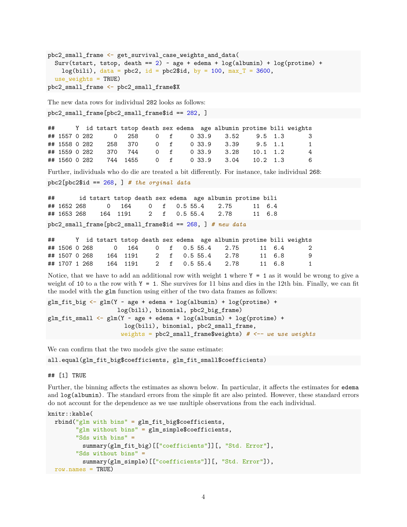```
pbc2_small_frame <- get_survival_case_weights_and_data(
  Surv(tstart, tstop, death == 2) \sim age + edema + log(albumin) + log(protime) +
   log(bili), data = pbc2, id = pbc2$id, by = 100, max_T = 3600,
  use weights = TRUE)
pbc2_small_frame <- pbc2_small_frame$X
```
The new data rows for individual 282 looks as follows:

```
pbc2_small_frame[pbc2_small_frame$id == 282, ]
```

|  |  |  |  |  | ## Y id tstart tstop death sex edema age albumin protime bili weights |     |
|--|--|--|--|--|-----------------------------------------------------------------------|-----|
|  |  |  |  |  | ## 1557 0 282 0 258 0 f 0 33.9 3.52 9.5 1.3                           | - 3 |
|  |  |  |  |  |                                                                       | 1   |
|  |  |  |  |  |                                                                       | 4   |
|  |  |  |  |  | ## 1560 0 282 744 1455 0 f 0 33.9 3.04 10.2 1.3                       | 6   |

Further, individuals who do die are treated a bit differently. For instance, take individual 268:

pbc2[pbc2\$id == 268, ] *# the orginal data*

## id tstart tstop death sex edema age albumin protime bili ## 1652 268 0 164 0 f 0.5 55.4 2.75 11 6.4 ## 1653 268 164 1191 2 f 0.5 55.4 2.78 11 6.8

pbc2\_small\_frame[pbc2\_small\_frame\$id == 268, ] *# new data*

|               |  |  |  |  |                            |        | ## Y id tstart tstop death sex edema age albumin protime bili weights                           |
|---------------|--|--|--|--|----------------------------|--------|-------------------------------------------------------------------------------------------------|
|               |  |  |  |  |                            |        | ## 1506 0 268        0     164       0     f     0.5 55.4      2.75         11   6.4          2 |
| ## 1507 0 268 |  |  |  |  | 164 1191 2 f 0.5 55.4 2.78 | 11 6.8 | - 9                                                                                             |
| ## 1707 1 268 |  |  |  |  | 164 1191 2 f 0.5 55.4 2.78 | 11 6.8 | 1                                                                                               |

Notice, that we have to add an additional row with weight 1 where  $Y = 1$  as it would be wrong to give a weight of 10 to a the row with  $Y = 1$ . She survives for 11 bins and dies in the 12th bin. Finally, we can fit the model with the glm function using either of the two data frames as follows:

```
glm_fit_big \leftarrow glm(Y \sim age + edema + log(albumin) + log(proteine) +log(bili), binomial, pbc2_big_frame)
glm_fit_small <- glm(Y \sim age + edema + log(albumin) + log(protime) +
                       log(bili), binomial, pbc2_small_frame,
                      weights = pbc2_small_frame$weights) # <-- we use weights
```
We can confirm that the two models give the same estimate:

all.equal(glm\_fit\_big\$coefficients, glm\_fit\_small\$coefficients)

## [1] TRUE

Further, the binning affects the estimates as shown below. In particular, it affects the estimates for edema and log(albumin). The standard errors from the simple fit are also printed. However, these standard errors do not account for the dependence as we use multiple observations from the each individual.

```
knitr::kable(
  rbind("glm with bins" = glm_fit_big$coefficients,
        "glm without bins" = glm_simple$coefficients,
        "Sds with bins" =
          summary(glm_fit_big)[["coefficients"]][, "Std. Error"],
        "Sds without bins" =
          summary(glm_simple)[["coefficients"]][, "Std. Error"]),
 row.names = TRUE)
```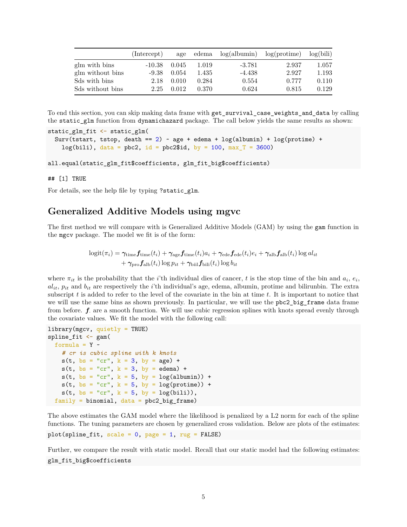|                  | (Intercept) | age   |       | $edema$ $log(albumin)$ $log(protime)$ |       | log(bili) |
|------------------|-------------|-------|-------|---------------------------------------|-------|-----------|
| glm with bins    | $-10.38$    | 0.045 | 1.019 | $-3.781$                              | 2.937 | 1.057     |
| glm without bins | $-9.38$     | 0.054 | 1.435 | $-4.438$                              | 2.927 | 1.193     |
| Sds with bins    | 2.18        | 0.010 | 0.284 | 0.554                                 | 0.777 | 0.110     |
| Sds without bins | 2.25        | 0.012 | 0.370 | 0.624                                 | 0.815 | 0.129     |

To end this section, you can skip making data frame with get\_survival\_case\_weights\_and\_data by calling the static\_glm function from dynamichazard package. The call below yields the same results as shown:

```
static_glm_fit <- static_glm(
  Surv(tstart, tstop, death == 2) ~ age + edema + log(albumin) + log(proteine) +
    log(bili), data = pbc2, id = pbc2$id, by = 100, max T = 3600)
```

```
all.equal(static_glm_fit$coefficients, glm_fit_big$coefficients)
```
## [1] TRUE

For details, see the help file by typing ?static\_glm.

# **Generalized Additive Models using mgvc**

The first method we will compare with is Generalized Additive Models (GAM) by using the gam function in the mgcv package. The model we fit is of the form:

$$
logit(\pi_i) = \gamma_{time} f_{time}(t_i) + \gamma_{age} f_{time}(t_i) a_i + \gamma_{ede} f_{ede}(t_i) e_i + \gamma_{alb} f_{alb}(t_i) \log a l_{it}
$$

$$
+ \gamma_{pro} f_{alb}(t_i) \log p_{it} + \gamma_{bii} f_{bili}(t_i) \log b_{it}
$$

where  $\pi_{it}$  is the probability that the *i*'th individual dies of cancer, *t* is the stop time of the bin and  $a_i$ ,  $e_i$ ,  $a_{it}$ ,  $p_{it}$  and  $b_{it}$  are respectively the *i*'th individual's age, edema, albumin, protime and bilirunbin. The extra subscript *t* is added to refer to the level of the covariate in the bin at time *t*. It is important to notice that we will use the same bins as shown previously. In particular, we will use the pbc2\_big\_frame data frame from before. **f** are a smooth function. We will use cubic regression splines with knots spread evenly through the covariate values. We fit the model with the following call:

```
library(mgcv, quietly = TRUE)
spline_fit \leftarrow gam(
  formula = Y \sim# cr is cubic spline with k knots
   s(t, bs = "cr", k = 3, by = age) +s(t, bs = "cr", k = 3, by = edema) +s(t, bs = "cr", k = 5, by = log(albumin)) +s(t, bs = "cr", k = 5, by = log(protine)) +s(t, bs = "cr", k = 5, by = log(bili)),family = binomial, data = pbc2_big-frame)
```
The above estimates the GAM model where the likelihood is penalized by a L2 norm for each of the spline functions. The tuning parameters are chosen by generalized cross validation. Below are plots of the estimates:

 $plot(spline_fit, scale = 0, page = 1, rug = FALSE)$ 

Further, we compare the result with static model. Recall that our static model had the following estimates: glm\_fit\_big\$coefficients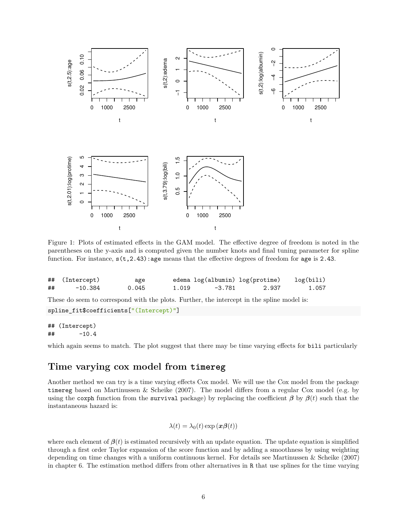

Figure 1: Plots of estimated effects in the GAM model. The effective degree of freedom is noted in the parentheses on the y-axis and is computed given the number knots and final tuning parameter for spline function. For instance,  $s(t, 2.43)$ : age means that the effective degrees of freedom for age is 2.43.

|    | ## (Intercept) | age   |       |        | edema log(albumin) log(protime) | log(bili) |
|----|----------------|-------|-------|--------|---------------------------------|-----------|
| ## | $-10.384$      | 0.045 | 1.019 | -3.781 | 2.937                           | 1.057     |

These do seem to correspond with the plots. Further, the intercept in the spline model is:

```
spline_fit$coefficients["(Intercept)"]
```
## (Intercept) ## -10.4

which again seems to match. The plot suggest that there may be time varying effects for bili particularly

### **Time varying cox model from timereg**

Another method we can try is a time varying effects Cox model. We will use the Cox model from the package timereg based on Martinussen & Scheike (2007). The model differs from a regular Cox model (e.g. by using the coxph function from the survival package) by replacing the coefficient  $\beta$  by  $\beta(t)$  such that the instantaneous hazard is:

$$
\lambda(t) = \lambda_0(t) \exp(\boldsymbol{x}\boldsymbol{\beta}(t))
$$

where each element of  $\beta(t)$  is estimated recursively with an update equation. The update equation is simplified through a first order Taylor expansion of the score function and by adding a smoothness by using weighting depending on time changes with a uniform continuous kernel. For details see Martinussen & Scheike (2007) in chapter 6. The estimation method differs from other alternatives in R that use splines for the time varying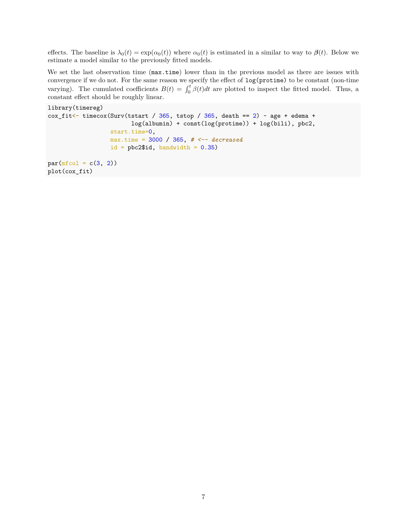effects. The baseline is  $\lambda_0(t) = \exp(\alpha_0(t))$  where  $\alpha_0(t)$  is estimated in a similar to way to  $\beta(t)$ . Below we estimate a model similar to the previously fitted models.

We set the last observation time ( $\text{max.time}$ ) lower than in the previous model as there are issues with convergence if we do not. For the same reason we specify the effect of log(protime) to be constant (non-time varying). The cumulated coefficients  $B(t) = \int_0^t \beta(t) dt$  are plotted to inspect the fitted model. Thus, a constant effect should be roughly linear.

```
library(timereg)
\text{cox\_fit} < timecox(Surv(tstart / 365, tstop / 365, death == 2) ~ age + edema +
                         log(albumin) + const(log(protime)) + log(bili), pbc2,
                  start.time=0,
                  max.time = 3000 / 365, # <-- decreased
                  id = pbc2$id, bandwidth = 0.35)
par(mfcol = c(3, 2))plot(cox_fit)
```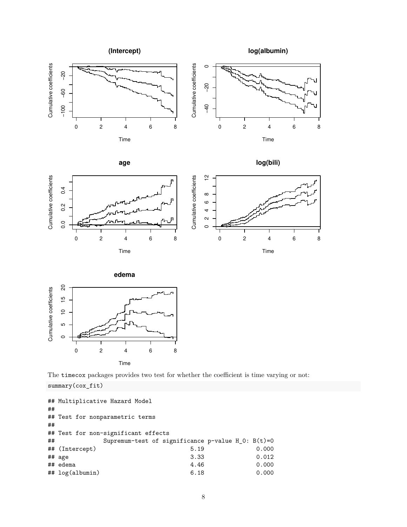







**edema**



The timecox packages provides two test for whether the coefficient is time varying or not:

summary(cox\_fit)

```
## Multiplicative Hazard Model
##
## Test for nonparametric terms
##
## Test for non-significant effects
## Supremum-test of significance p-value H_0: B(t)=0
## (Intercept) 5.19 0.000
## age 3.33 0.012
## edema 4.46 0.000
## log(albumin) 6.18 0.000
```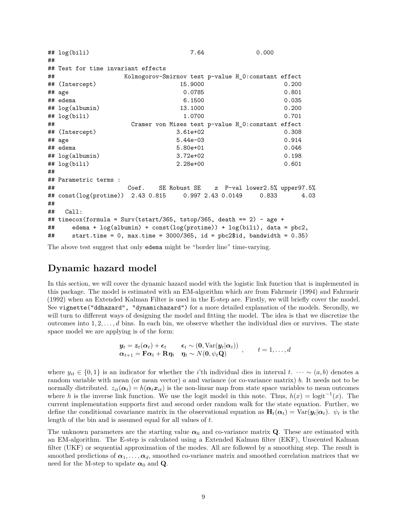```
## log(bili) 7.64 0.000
##
## Test for time invariant effects
## Kolmogorov-Smirnov test p-value H_0:constant effect
## (Intercept) 15.9000 0.200
## age 0.0785 0.801
## edema 6.1500 0.035
## log(albumin) 13.1000 0.200
## log(bili) 1.0700 0.701
## Cramer von Mises test p-value H_0:constant effect
## (Intercept) 3.61e+02 0.308
## age 5.44e-03 0.914
## edema 5.80e+01 0.046
## log(albumin) 3.72e+02 0.198
## log(bili) 2.28e+00 0.601
##
## Parametric terms :
## Coef. SE Robust SE z P-val lower2.5% upper97.5%
## const(log(protime)) 2.43 0.815 0.997 2.43 0.0149 0.833 4.03
##
## Call:
## timecox(formula = Surv(tstart/365, tstop/365, death == 2) \sim age +
## edema + log(albumin) + const(log(protime)) + log(bili), data = pbc2,
## start.time = 0, max.time = 3000/365, id = pbc2$id, bandwidth = 0.35)
```
The above test suggest that only edema might be "border line" time-varying.

# **Dynamic hazard model**

In this section, we will cover the dynamic hazard model with the logistic link function that is implemented in this package. The model is estimated with an EM-algorithm which are from Fahrmeir (1994) and Fahrmeir (1992) when an Extended Kalman Filter is used in the E-step are. Firstly, we will briefly cover the model. See vignette("ddhazard", "dynamichazard") for a more detailed explanation of the models. Secondly, we will turn to different ways of designing the model and fitting the model. The idea is that we discretize the outcomes into 1*,* 2*, . . . , d* bins. In each bin, we observe whether the individual dies or survives. The state space model we are applying is of the form:

$$
\mathbf{y}_t = \mathbf{z}_t(\alpha_t) + \boldsymbol{\epsilon}_t \qquad \boldsymbol{\epsilon}_t \sim (\mathbf{0}, \text{Var}(\mathbf{y}_t|\alpha_t)) \quad , \qquad t = 1, \ldots, d
$$
  

$$
\alpha_{t+1} = \mathbf{F}\alpha_t + \mathbf{R}\eta_t \quad \eta_t \sim N(\mathbf{0}, \psi_t \mathbf{Q}) \qquad t = 1, \ldots, d
$$

where  $y_{it} \in \{0,1\}$  is an indicator for whether the *i*'th individual dies in interval  $t$ .  $\cdots \sim (a,b)$  denotes a random variable with mean (or mean vector) *a* and variance (or co-variance matrix) *b*. It needs not to be normally distributed.  $z_{it}(\alpha_t) = h(\alpha_t x_{it})$  is the non-linear map from state space variables to mean outcomes where *h* is the inverse link function. We use the logit model in this note. Thus,  $h(x) = \logit^{-1}(x)$ . The current implementation supports first and second order random walk for the state equation. Further, we define the conditional covariance matrix in the observational equation as  $\mathbf{H}_t(\alpha_t) = \text{Var}(\mathbf{y}_t | \alpha_t)$ .  $\psi_t$  is the length of the bin and is assumed equal for all values of *t*.

The unknown parameters are the starting value  $\alpha_0$  and co-variance matrix **Q**. These are estimated with an EM-algorithm. The E-step is calculated using a Extended Kalman filter (EKF), Unscented Kalman filter (UKF) or sequential approximation of the modes. All are followed by a smoothing step. The result is smoothed predictions of  $\alpha_1, \ldots, \alpha_d$ , smoothed co-variance matrix and smoothed correlation matrices that we need for the M-step to update  $\alpha_0$  and **Q**.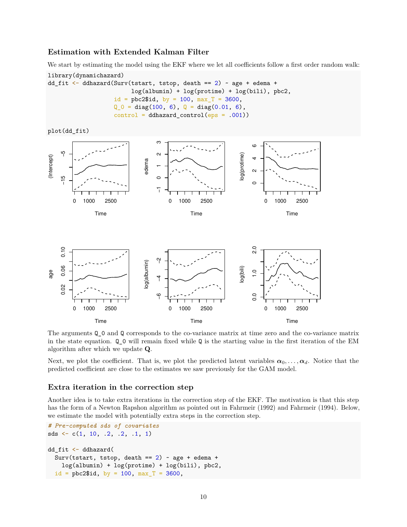### **Estimation with Extended Kalman Filter**

We start by estimating the model using the EKF where we let all coefficients follow a first order random walk:

```
library(dynamichazard)
dd_fit <- ddhazard(Surv(tstart, tstop, death == 2) ~ age + edema +
                        log(albumin) + log(protime) + log(bili), pbc2,
                   id = pbc2$id, by = 100, max_T = 3600,Q_0 = diag(100, 6), Q = diag(0.01, 6),control = ddhazard</u>control(eps = .001))
```
plot(dd\_fit)



The arguments Q\_0 and Q corresponds to the co-variance matrix at time zero and the co-variance matrix in the state equation. Q\_0 will remain fixed while Q is the starting value in the first iteration of the EM algorithm after which we update **Q**.

Next, we plot the coefficient. That is, we plot the predicted latent variables  $\alpha_0, \ldots, \alpha_d$ . Notice that the predicted coefficient are close to the estimates we saw previously for the GAM model.

#### **Extra iteration in the correction step**

Another idea is to take extra iterations in the correction step of the EKF. The motivation is that this step has the form of a Newton Rapshon algorithm as pointed out in Fahrmeir (1992) and Fahrmeir (1994). Below, we estimate the model with potentially extra steps in the correction step.

```
# Pre-computed sds of covariates
sds \leftarrow c(1, 10, .2, .2, .1, 1)
dd_fit <- ddhazard(
  Surv(tstart, tstop, death == 2) \sim age + edema +
    log(albumin) + log(protime) + log(bili), pbc2,
  id = pbc2$id, by = 100, max_T = 3600,
```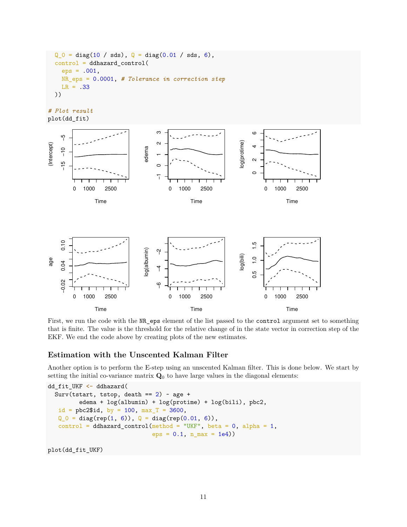```
Q_0 = diag(10 / sds), Q = diag(0.01 / sds, 6),control = ddhazard_control(
 eps = .001,NR_eps = 0.0001, # Tolerance in correction step
 LR = .33))
```
*# Plot result* plot(dd\_fit)



First, we run the code with the  $NR$ -eps element of the list passed to the control argument set to something that is finite. The value is the threshold for the relative change of in the state vector in correction step of the EKF. We end the code above by creating plots of the new estimates.

### **Estimation with the Unscented Kalman Filter**

Another option is to perform the E-step using an unscented Kalman filter. This is done below. We start by setting the initial co-variance matrix  $\mathbf{Q}_0$  to have large values in the diagonal elements:

```
dd_fit_UKF <- ddhazard(
  Surv(tstart, tstop, death == 2) \sim age +
         edema + log(albumin) + log(protime) + log(bili), pbc2,
   id = pbc2$id, by = 100, max_T = 3600,Q_0 = diag(rep(1, 6)), Q = diag(rep(0.01, 6)),control = ddhazard_countrol(method = "UKF", beta = 0, alpha = 1,eps = 0.1, n_max = 1e4)
```
plot(dd\_fit\_UKF)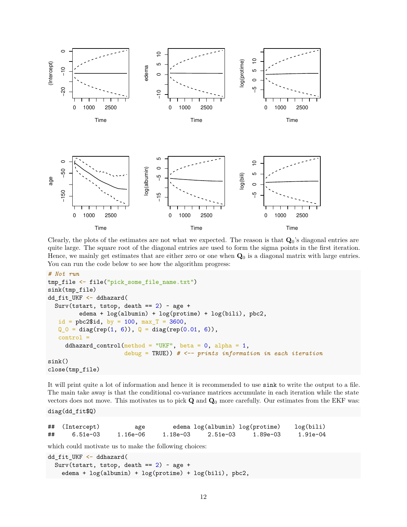

Clearly, the plots of the estimates are not what we expected. The reason is that **Q**0's diagonal entries are quite large. The square root of the diagonal entries are used to form the sigma points in the first iteration. Hence, we mainly get estimates that are either zero or one when **Q**<sup>0</sup> is a diagonal matrix with large entries. You can run the code below to see how the algorithm progress:

```
# Not run
tmp_file <- file("pick_some_file_name.txt")
sink(tmp_file)
dd_fit_UKF <- ddhazard(
  Surv(tstart, tstop, death == 2) \sim age +
         edema + log(albumin) + log(protime) + log(bili), pbc2,
  id = pbc2$id, by = 100, max_T = 3600,Q_0 = diag(rep(1, 6)), Q = diag(rep(0.01, 6)),control =
     ddhazard_control(method = "UKF", beta = 0, alpha = 1,
                      debug = TRUE)) # <-- prints information in each iteration
sink()
close(tmp_file)
```
It will print quite a lot of information and hence it is recommended to use sink to write the output to a file. The main take away is that the conditional co-variance matrices accumulate in each iteration while the state vectors does not move. This motivates us to pick **Q** and **Q**<sup>0</sup> more carefully. Our estimates from the EKF was:

diag(dd\_fit\$Q)

|    | ## (Intercept) | age      |          | edema log(albumin) log(protime) |          | log(bili)  |
|----|----------------|----------|----------|---------------------------------|----------|------------|
| ## | 6.51e-03       | 1.16e-06 | 1.18e-03 | 2.51e-03                        | 1.89e-03 | $1.91e-04$ |

which could motivate us to make the following choices:

```
dd_fit_UKF <- ddhazard(
  Surv(tstart, tstop, death == 2) \sim age +
    edema + log(albumin) + log(protime) + log(bili), pbc2,
```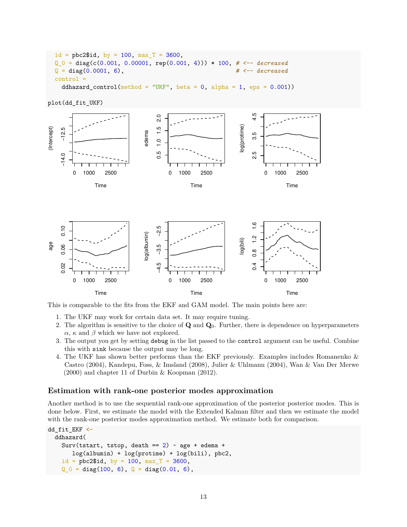```
id = pbc2$id, by = 100, max_T = 3600,Q = diag(c(0.001, 0.00001, rep(0.001, 4))) * 100, # < - - decreasedQ = diag(0.0001, 6), \# \leftarrow decreased
control =
 ddhazard_control(method = "UKF", beta = 0, alpha = 1, eps = 0.001))
```
plot(dd\_fit\_UKF)



This is comparable to the fits from the EKF and GAM model. The main points here are:

- 1. The UKF may work for certain data set. It may require tuning.
- 2. The algorithm is sensitive to the choice of **Q** and **Q**0. Further, there is dependence on hyperparameters *α*, *κ* and *β* which we have not explored.
- 3. The output you get by setting debug in the list passed to the control argument can be useful. Combine this with sink because the output may be long.
- 4. The UKF has shown better performs than the EKF previously. Examples includes Romanenko & Castro (2004), Kandepu, Foss, & Imsland (2008), Julier & Uhlmann (2004), Wan & Van Der Merwe (2000) and chapter 11 of Durbin & Koopman (2012).

#### **Estimation with rank-one posterior modes approximation**

Another method is to use the sequential rank-one approximation of the posterior posterior modes. This is done below. First, we estimate the model with the Extended Kalman filter and then we estimate the model with the rank-one posterior modes approximation method. We estimate both for comparison.

```
dd_fit_EKF <-
  ddhazard(
    Surv(tstart, tstop, death == 2) \sim age + edema +
       log(albumin) + log(protime) + log(bili), pbc2,
    id = pbc2$id, by = 100, max_T = 3600,Q_0 = diag(100, 6), Q = diag(0.01, 6),
```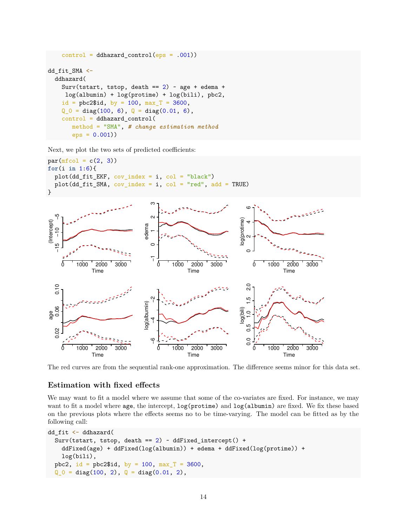```
control = ddhazard_counto1(eps = .001))dd_fit_SMA <-
  ddhazard(
   Surv(tstart, tstop, death == 2) \sim age + edema +
    log(albumin) + log(protime) + log(bili), pbc2,
   id = pbc2$id, by = 100, max_T = 3600,Q_0 = diag(100, 6), Q = diag(0.01, 6),control = ddhazard_control(
       method = "SMA", # change estimation method
       eps = 0.001))
```
Next, we plot the two sets of predicted coefficients:



The red curves are from the sequential rank-one approximation. The difference seems minor for this data set.

### **Estimation with fixed effects**

We may want to fit a model where we assume that some of the co-variates are fixed. For instance, we may want to fit a model where age, the intercept, log(protime) and log(albumin) are fixed. We fix these based on the previous plots where the effects seems no to be time-varying. The model can be fitted as by the following call:

```
dd_fit <- ddhazard(
  Surv(tstart, tstop, death == 2) \sim ddFixed_intercept() +
   ddFixed(age) + ddFixed(log(albumin)) + edema + ddFixed(log(protime)) +
   log(bili),
  pbc2, id = pbc2$id, by = 100, max_T = 3600,
  Q_0 = diag(100, 2), Q = diag(0.01, 2),
```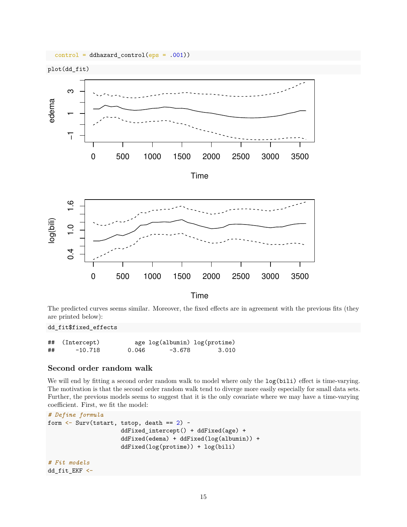

The predicted curves seems similar. Moreover, the fixed effects are in agreement with the previous fits (they are printed below):

dd\_fit\$fixed\_effects

|    | ## (Intercept) |       | age log(albumin) log(protime) |       |
|----|----------------|-------|-------------------------------|-------|
| ## | $-10.718$      | 0.046 | $-3.678$                      | 3.010 |

### **Second order random walk**

We will end by fitting a second order random walk to model where only the  $log(bili)$  effect is time-varying. The motivation is that the second order random walk tend to diverge more easily especially for small data sets. Further, the previous models seems to suggest that it is the only covariate where we may have a time-varying coefficient. First, we fit the model:

```
# Define formula
form \leftarrow Surv(tstart, tstop, death == 2) ~
                      ddFixed_intercept() + ddFixed(age) +
                      ddFixed(edema) + ddFixed(log(albumin)) +
                      ddFixed(log(protime)) + log(bili)
# Fit models
dd_fit_EKF <-
```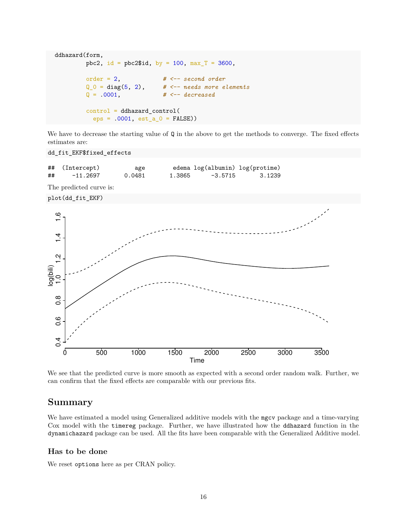```
ddhazard(form,
        pbc2, id = pbc2$id, by = 100, max T = 3600,
        order = 2, # <-- second order
        Q_0 = diag(5, 2), # <-- needs more elements
        Q = .0001, # <-- decreased
        control = ddhazard_control(
         eps = .0001, est_a_0 = FALSE))
```
We have to decrease the starting value of  $\mathbf Q$  in the above to get the methods to converge. The fixed effects estimates are:

dd\_fit\_EKF\$fixed\_effects

## (Intercept) age edema log(albumin) log(protime) ## -11.2697 0.0481 1.3865 -3.5715 3.1239

The predicted curve is:





We see that the predicted curve is more smooth as expected with a second order random walk. Further, we can confirm that the fixed effects are comparable with our previous fits.

### **Summary**

We have estimated a model using Generalized additive models with the mgcv package and a time-varying Cox model with the timereg package. Further, we have illustrated how the ddhazard function in the dynamichazard package can be used. All the fits have been comparable with the Generalized Additive model.

### **Has to be done**

We reset options here as per CRAN policy.